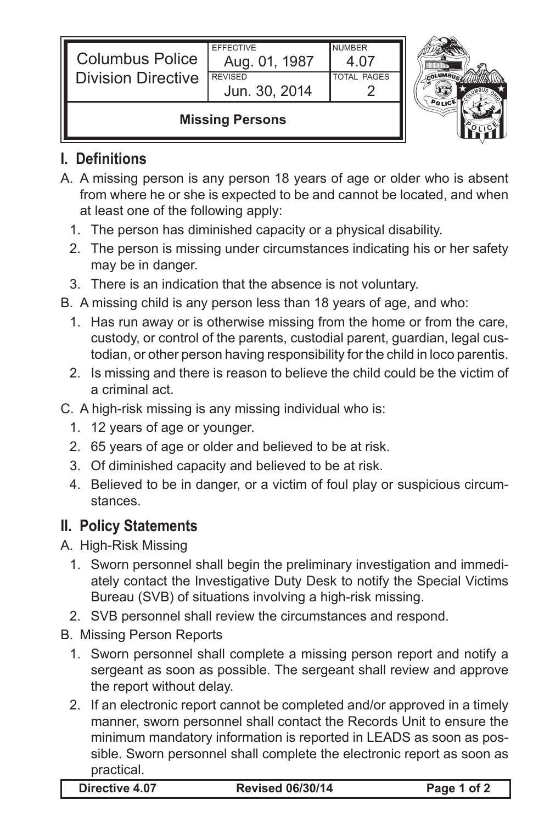| <b>Columbus Police</b><br><b>Division Directive</b> | <b>EFFECTIVE</b><br>Aug. 01, 1987<br><b>REVISED</b> | NUMBER<br><b>TOTAL PAGES</b> |  |
|-----------------------------------------------------|-----------------------------------------------------|------------------------------|--|
|                                                     | Jun. 30, 2014<br><b>Missing Persons</b>             |                              |  |

## **I. Definitions**

IL

- A. A missing person is any person 18 years of age or older who is absent from where he or she is expected to be and cannot be located, and when at least one of the following apply:
	- 1. The person has diminished capacity or a physical disability.
	- 2. The person is missing under circumstances indicating his or her safety may be in danger.
	- 3. There is an indication that the absence is not voluntary.
- B. A missing child is any person less than 18 years of age, and who:
	- 1. Has run away or is otherwise missing from the home or from the care, custody, or control of the parents, custodial parent, guardian, legal custodian, or other person having responsibility for the child in loco parentis.
	- 2. Is missing and there is reason to believe the child could be the victim of a criminal act.
- C. A high-risk missing is any missing individual who is:
	- 1. 12 years of age or younger.
	- 2. 65 years of age or older and believed to be at risk.
	- 3. Of diminished capacity and believed to be at risk.
	- 4. Believed to be in danger, or a victim of foul play or suspicious circumstances.

## **II. Policy Statements**

- A. High-Risk Missing
	- 1. Sworn personnel shall begin the preliminary investigation and immediately contact the Investigative Duty Desk to notify the Special Victims Bureau (SVB) of situations involving a high-risk missing.
	- 2. SVB personnel shall review the circumstances and respond.

## B. Missing Person Reports

- 1. Sworn personnel shall complete a missing person report and notify a sergeant as soon as possible. The sergeant shall review and approve the report without delay.
- 2. If an electronic report cannot be completed and/or approved in a timely manner, sworn personnel shall contact the Records Unit to ensure the minimum mandatory information is reported in LEADS as soon as possible. Sworn personnel shall complete the electronic report as soon as practical.